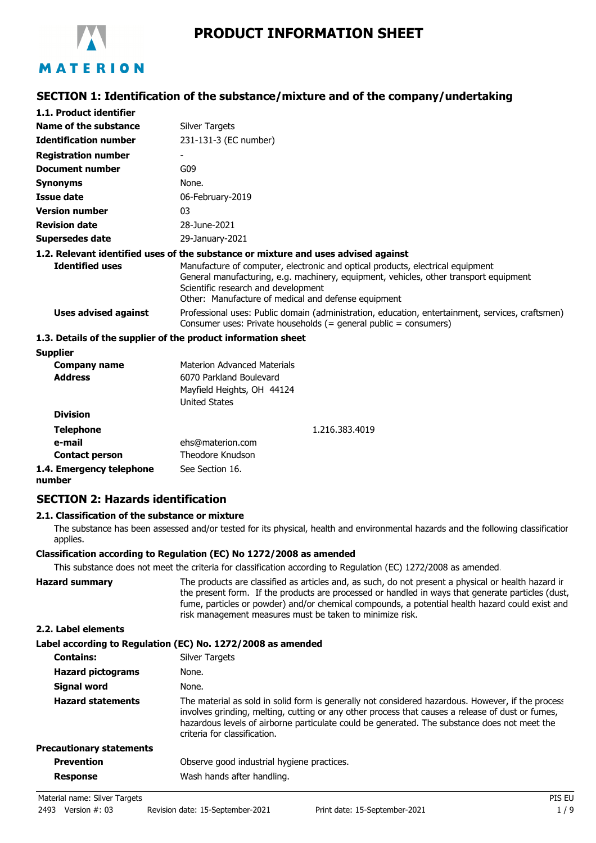

# **SECTION 1: Identification of the substance/mixture and of the company/undertaking**

| 1.1. Product identifier      |                                                                                                                                                                                                                                                                       |
|------------------------------|-----------------------------------------------------------------------------------------------------------------------------------------------------------------------------------------------------------------------------------------------------------------------|
| Name of the substance        | <b>Silver Targets</b>                                                                                                                                                                                                                                                 |
| <b>Identification number</b> | 231-131-3 (EC number)                                                                                                                                                                                                                                                 |
| <b>Registration number</b>   | ۰                                                                                                                                                                                                                                                                     |
| <b>Document number</b>       | G09                                                                                                                                                                                                                                                                   |
| <b>Synonyms</b>              | None.                                                                                                                                                                                                                                                                 |
| Issue date                   | 06-February-2019                                                                                                                                                                                                                                                      |
| <b>Version number</b>        | 03                                                                                                                                                                                                                                                                    |
| <b>Revision date</b>         | 28-June-2021                                                                                                                                                                                                                                                          |
| <b>Supersedes date</b>       | 29-January-2021                                                                                                                                                                                                                                                       |
|                              | 1.2. Relevant identified uses of the substance or mixture and uses advised against                                                                                                                                                                                    |
| <b>Identified uses</b>       | Manufacture of computer, electronic and optical products, electrical equipment<br>General manufacturing, e.g. machinery, equipment, vehicles, other transport equipment<br>Scientific research and development<br>Other: Manufacture of medical and defense equipment |
| <b>Uses advised against</b>  | Professional uses: Public domain (administration, education, entertainment, services, craftsmen)<br>Consumer uses: Private households $(=$ general public $=$ consumers)                                                                                              |
|                              | 1.3. Details of the supplier of the product information sheet                                                                                                                                                                                                         |
| <b>Supplier</b>              |                                                                                                                                                                                                                                                                       |
| Company name                 | <b>Materion Advanced Materials</b>                                                                                                                                                                                                                                    |

| Company name                       | Materion Advanced Materials |                |
|------------------------------------|-----------------------------|----------------|
| <b>Address</b>                     | 6070 Parkland Boulevard     |                |
|                                    | Mayfield Heights, OH 44124  |                |
|                                    | <b>United States</b>        |                |
| <b>Division</b>                    |                             |                |
| <b>Telephone</b>                   |                             | 1.216.383.4019 |
| e-mail                             | ehs@materion.com            |                |
| <b>Contact person</b>              | Theodore Knudson            |                |
| 1.4. Emergency telephone<br>number | See Section 16.             |                |

## **SECTION 2: Hazards identification**

## **2.1. Classification of the substance or mixture**

The substance has been assessed and/or tested for its physical, health and environmental hazards and the following classification applies.

## **Classification according to Regulation (EC) No 1272/2008 as amended**

This substance does not meet the criteria for classification according to Regulation (EC) 1272/2008 as amended.

| <b>Hazard summary</b> | The products are classified as articles and, as such, do not present a physical or health hazard ir |
|-----------------------|-----------------------------------------------------------------------------------------------------|
|                       | the present form. If the products are processed or handled in ways that generate particles (dust,   |
|                       | fume, particles or powder) and/or chemical compounds, a potential health hazard could exist and     |
|                       | risk management measures must be taken to minimize risk.                                            |
|                       |                                                                                                     |

## **2.2. Label elements**

## **Label according to Regulation (EC) No. 1272/2008 as amended**

| <b>Silver Targets</b>                                                                                                                                                                                                                                                                                                                 |
|---------------------------------------------------------------------------------------------------------------------------------------------------------------------------------------------------------------------------------------------------------------------------------------------------------------------------------------|
| None.                                                                                                                                                                                                                                                                                                                                 |
| None.                                                                                                                                                                                                                                                                                                                                 |
| The material as sold in solid form is generally not considered hazardous. However, if the process<br>involves grinding, melting, cutting or any other process that causes a release of dust or fumes,<br>hazardous levels of airborne particulate could be generated. The substance does not meet the<br>criteria for classification. |
|                                                                                                                                                                                                                                                                                                                                       |
| Observe good industrial hygiene practices.                                                                                                                                                                                                                                                                                            |
| Wash hands after handling.                                                                                                                                                                                                                                                                                                            |
|                                                                                                                                                                                                                                                                                                                                       |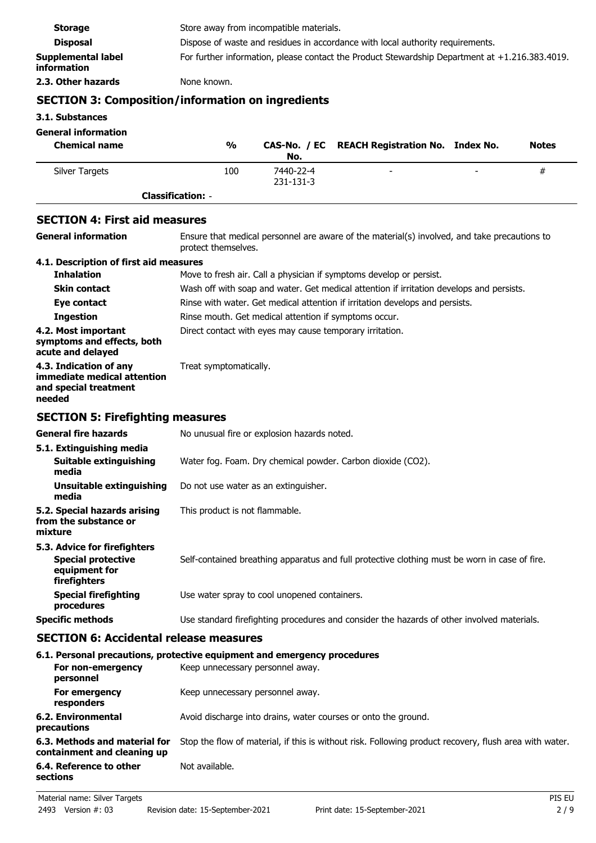| <b>Storage</b>                                  | Store away from incompatible materials.                                                           |
|-------------------------------------------------|---------------------------------------------------------------------------------------------------|
| <b>Disposal</b>                                 | Dispose of waste and residues in accordance with local authority requirements.                    |
| <b>Supplemental label</b><br><b>information</b> | For further information, please contact the Product Stewardship Department at $+1.216.383.4019$ . |
| 2.3. Other hazards                              | None known.                                                                                       |

# **SECTION 3: Composition/information on ingredients**

**3.1. Substances**

## **General information**

| <b>Chemical name</b> | $\frac{0}{0}$            | No.                    | CAS-No. / EC REACH Registration No. Index No. |   | <b>Notes</b> |
|----------------------|--------------------------|------------------------|-----------------------------------------------|---|--------------|
| Silver Targets       | 100                      | 7440-22-4<br>231-131-3 | $\overline{\phantom{0}}$                      | - | #            |
|                      | <b>Classification: -</b> |                        |                                               |   |              |

## **SECTION 4: First aid measures**

| <b>General information</b>                                                                 | Ensure that medical personnel are aware of the material(s) involved, and take precautions to<br>protect themselves. |
|--------------------------------------------------------------------------------------------|---------------------------------------------------------------------------------------------------------------------|
| 4.1. Description of first aid measures                                                     |                                                                                                                     |
| <b>Inhalation</b>                                                                          | Move to fresh air. Call a physician if symptoms develop or persist.                                                 |
| <b>Skin contact</b>                                                                        | Wash off with soap and water. Get medical attention if irritation develops and persists.                            |
| Eye contact                                                                                | Rinse with water. Get medical attention if irritation develops and persists.                                        |
| <b>Ingestion</b>                                                                           | Rinse mouth. Get medical attention if symptoms occur.                                                               |
| 4.2. Most important<br>symptoms and effects, both<br>acute and delayed                     | Direct contact with eyes may cause temporary irritation.                                                            |
| 4.3. Indication of any<br>immediate medical attention<br>and special treatment<br>needed   | Treat symptomatically.                                                                                              |
| <b>SECTION 5: Firefighting measures</b>                                                    |                                                                                                                     |
| <b>General fire hazards</b>                                                                | No unusual fire or explosion hazards noted.                                                                         |
| 5.1. Extinguishing media<br>Suitable extinguishing<br>media                                | Water fog. Foam. Dry chemical powder. Carbon dioxide (CO2).                                                         |
| <b>Unsuitable extinguishing</b><br>media                                                   | Do not use water as an extinguisher.                                                                                |
| 5.2. Special hazards arising<br>from the substance or<br>mixture                           | This product is not flammable.                                                                                      |
| 5.3. Advice for firefighters<br><b>Special protective</b><br>equipment for<br>firefighters | Self-contained breathing apparatus and full protective clothing must be worn in case of fire.                       |
| <b>Special firefighting</b><br>procedures                                                  | Use water spray to cool unopened containers.                                                                        |
| <b>Specific methods</b>                                                                    | Use standard firefighting procedures and consider the hazards of other involved materials.                          |
|                                                                                            |                                                                                                                     |

## **SECTION 6: Accidental release measures**

## **6.1. Personal precautions, protective equipment and emergency procedures**

| For non-emergency<br>personnel                               | Keep unnecessary personnel away.                                                                       |
|--------------------------------------------------------------|--------------------------------------------------------------------------------------------------------|
| For emergency<br>responders                                  | Keep unnecessary personnel away.                                                                       |
| 6.2. Environmental<br>precautions                            | Avoid discharge into drains, water courses or onto the ground.                                         |
| 6.3. Methods and material for<br>containment and cleaning up | Stop the flow of material, if this is without risk. Following product recovery, flush area with water. |
| 6.4. Reference to other<br>sections                          | Not available.                                                                                         |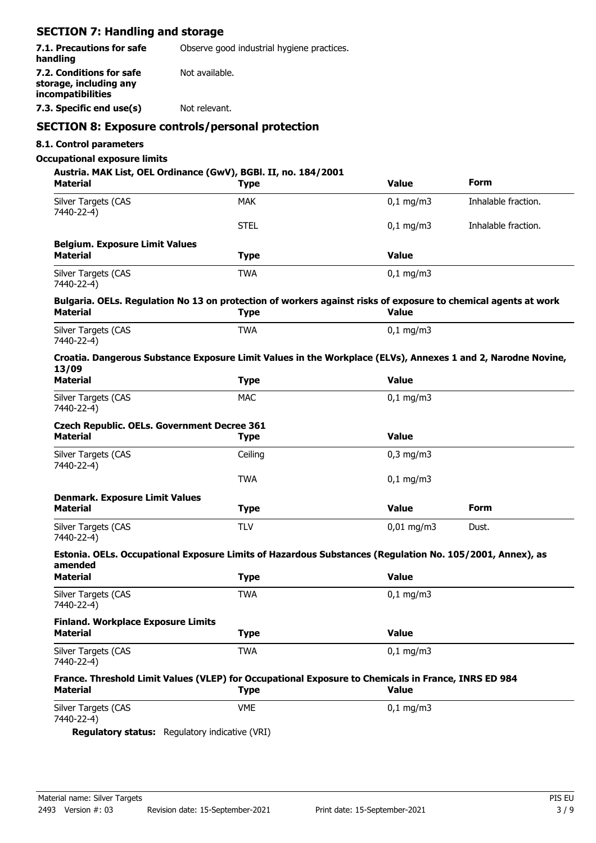## **SECTION 7: Handling and storage**

| 7.1. Precautions for safe<br>handling                                   | Observe good industrial hygiene practices. |
|-------------------------------------------------------------------------|--------------------------------------------|
| 7.2. Conditions for safe<br>storage, including any<br>incompatibilities | Not available.                             |
| 7.3. Specific end use(s)                                                | Not relevant.                              |
|                                                                         |                                            |

## **SECTION 8: Exposure controls/personal protection**

## **8.1. Control parameters**

## **Occupational exposure limits**

**Austria. MAK List, OEL Ordinance (GwV), BGBl. II, no. 184/2001**

| <b>Material</b>                                                                                                        | <b>Type</b> | <b>Value</b>   | Form                |
|------------------------------------------------------------------------------------------------------------------------|-------------|----------------|---------------------|
| Silver Targets (CAS<br>7440-22-4)                                                                                      | <b>MAK</b>  | $0,1$ mg/m3    | Inhalable fraction. |
|                                                                                                                        | <b>STEL</b> | $0,1$ mg/m3    | Inhalable fraction. |
| <b>Belgium. Exposure Limit Values</b>                                                                                  |             |                |                     |
| <b>Material</b>                                                                                                        | <b>Type</b> | <b>Value</b>   |                     |
| Silver Targets (CAS<br>7440-22-4)                                                                                      | <b>TWA</b>  | $0,1$ mg/m3    |                     |
| Bulgaria. OELs. Regulation No 13 on protection of workers against risks of exposure to chemical agents at work         |             |                |                     |
| <b>Material</b>                                                                                                        | <b>Type</b> | <b>Value</b>   |                     |
| Silver Targets (CAS<br>7440-22-4)                                                                                      | <b>TWA</b>  | $0,1$ mg/m3    |                     |
| Croatia. Dangerous Substance Exposure Limit Values in the Workplace (ELVs), Annexes 1 and 2, Narodne Novine,<br>13/09  |             |                |                     |
| <b>Material</b>                                                                                                        | <b>Type</b> | <b>Value</b>   |                     |
| Silver Targets (CAS<br>7440-22-4)                                                                                      | <b>MAC</b>  | $0,1$ mg/m3    |                     |
| <b>Czech Republic. OELs. Government Decree 361</b>                                                                     |             |                |                     |
| Material                                                                                                               | <b>Type</b> | <b>Value</b>   |                     |
| Silver Targets (CAS<br>7440-22-4)                                                                                      | Ceiling     | $0,3$ mg/m $3$ |                     |
|                                                                                                                        | <b>TWA</b>  | $0,1$ mg/m3    |                     |
| <b>Denmark. Exposure Limit Values</b>                                                                                  |             |                |                     |
| Material                                                                                                               | <b>Type</b> | <b>Value</b>   | <b>Form</b>         |
| Silver Targets (CAS<br>7440-22-4)                                                                                      | <b>TLV</b>  | $0,01$ mg/m3   | Dust.               |
| Estonia. OELs. Occupational Exposure Limits of Hazardous Substances (Regulation No. 105/2001, Annex), as<br>amended    |             |                |                     |
| <b>Material</b>                                                                                                        | <b>Type</b> | <b>Value</b>   |                     |
| Silver Targets (CAS<br>7440-22-4)                                                                                      | <b>TWA</b>  | $0,1$ mg/m3    |                     |
| <b>Finland. Workplace Exposure Limits</b>                                                                              |             |                |                     |
| <b>Material</b>                                                                                                        | <b>Type</b> | <b>Value</b>   |                     |
| Silver Targets (CAS<br>7440-22-4)                                                                                      | <b>TWA</b>  | $0,1$ mg/m3    |                     |
| France. Threshold Limit Values (VLEP) for Occupational Exposure to Chemicals in France, INRS ED 984<br><b>Material</b> | <b>Type</b> | <b>Value</b>   |                     |
| Silver Targets (CAS                                                                                                    | <b>VME</b>  | $0,1$ mg/m3    |                     |
| 7440-22-4)                                                                                                             |             |                |                     |

**Regulatory status:** Regulatory indicative (VRI)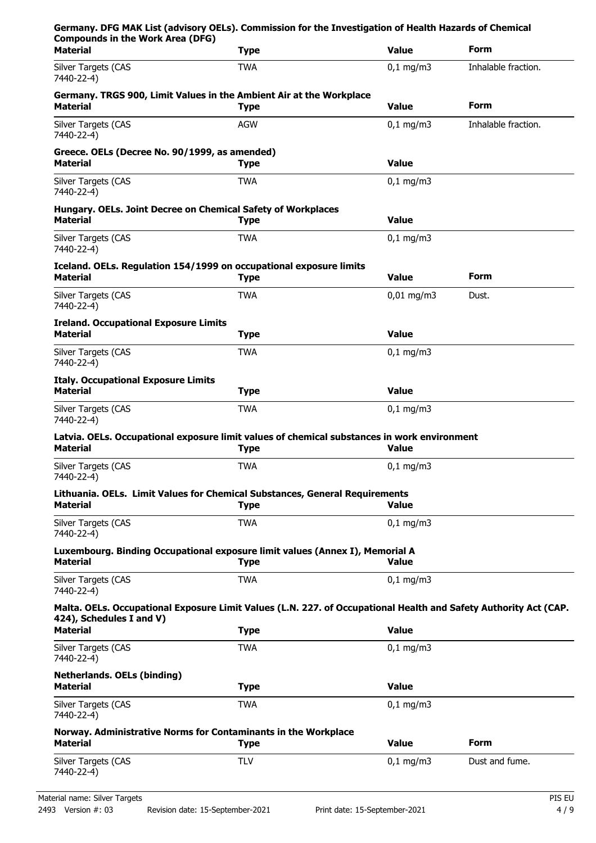| <b>Compounds in the Work Area (DFG)</b>                                           | Germany. DFG MAK List (advisory OELs). Commission for the Investigation of Health Hazards of Chemical            |                      |                     |
|-----------------------------------------------------------------------------------|------------------------------------------------------------------------------------------------------------------|----------------------|---------------------|
| <b>Material</b>                                                                   | <b>Type</b>                                                                                                      | <b>Value</b>         | Form                |
| Silver Targets (CAS<br>7440-22-4)                                                 | <b>TWA</b>                                                                                                       | $0,1$ mg/m3          | Inhalable fraction. |
| Material                                                                          | Germany. TRGS 900, Limit Values in the Ambient Air at the Workplace<br><b>Type</b>                               | <b>Value</b>         | Form                |
| Silver Targets (CAS<br>7440-22-4)                                                 | <b>AGW</b>                                                                                                       | $0,1$ mg/m3          | Inhalable fraction. |
| Greece. OELs (Decree No. 90/1999, as amended)<br><b>Material</b>                  | <b>Type</b>                                                                                                      | <b>Value</b>         |                     |
| Silver Targets (CAS<br>7440-22-4)                                                 | <b>TWA</b>                                                                                                       | $0,1$ mg/m3          |                     |
| Hungary. OELs. Joint Decree on Chemical Safety of Workplaces<br><b>Material</b>   | <b>Type</b>                                                                                                      | Value                |                     |
| Silver Targets (CAS<br>7440-22-4)                                                 | <b>TWA</b>                                                                                                       | $0,1$ mg/m3          |                     |
| <b>Material</b>                                                                   | Iceland. OELs. Regulation 154/1999 on occupational exposure limits<br><b>Type</b>                                | <b>Value</b>         | Form                |
| <b>Silver Targets (CAS</b><br>7440-22-4)                                          | <b>TWA</b>                                                                                                       | $0,01$ mg/m3         | Dust.               |
| <b>Ireland. Occupational Exposure Limits</b><br><b>Material</b>                   | <b>Type</b>                                                                                                      | <b>Value</b>         |                     |
| Silver Targets (CAS<br>7440-22-4)                                                 | <b>TWA</b>                                                                                                       | $0,1$ mg/m3          |                     |
| <b>Italy. Occupational Exposure Limits</b><br><b>Material</b>                     | <b>Type</b>                                                                                                      | <b>Value</b>         |                     |
| Silver Targets (CAS                                                               | <b>TWA</b>                                                                                                       | $0,1$ mg/m3          |                     |
| 7440-22-4)                                                                        |                                                                                                                  |                      |                     |
| <b>Material</b>                                                                   | Latvia. OELs. Occupational exposure limit values of chemical substances in work environment<br><b>Type</b>       | <b>Value</b>         |                     |
| Silver Targets (CAS<br>7440-22-4)                                                 | <b>TWA</b>                                                                                                       | $0,1 \, \text{mg/m}$ |                     |
| <b>Material</b>                                                                   | Lithuania. OELs. Limit Values for Chemical Substances, General Requirements<br><b>Type</b>                       | <b>Value</b>         |                     |
| Silver Targets (CAS<br>7440-22-4)                                                 | <b>TWA</b>                                                                                                       | $0,1$ mg/m3          |                     |
| <b>Material</b>                                                                   | Luxembourg. Binding Occupational exposure limit values (Annex I), Memorial A<br><b>Type</b>                      | <b>Value</b>         |                     |
| Silver Targets (CAS<br>7440-22-4)                                                 | <b>TWA</b>                                                                                                       | $0,1 \, \text{mg/m}$ |                     |
| 424), Schedules I and V)                                                          | Malta. OELs. Occupational Exposure Limit Values (L.N. 227. of Occupational Health and Safety Authority Act (CAP. |                      |                     |
| <b>Material</b>                                                                   | <b>Type</b>                                                                                                      | <b>Value</b>         |                     |
| Silver Targets (CAS<br>7440-22-4)                                                 | <b>TWA</b>                                                                                                       | $0,1$ mg/m3          |                     |
| <b>Netherlands. OELs (binding)</b><br><b>Material</b>                             | <b>Type</b>                                                                                                      | <b>Value</b>         |                     |
| Silver Targets (CAS<br>7440-22-4)                                                 | <b>TWA</b>                                                                                                       | $0,1$ mg/m3          |                     |
| Norway. Administrative Norms for Contaminants in the Workplace<br><b>Material</b> | <b>Type</b>                                                                                                      | <b>Value</b>         | Form                |
| Silver Targets (CAS                                                               | <b>TLV</b>                                                                                                       | $0,1$ mg/m3          | Dust and fume.      |
| 7440-22-4)                                                                        |                                                                                                                  |                      |                     |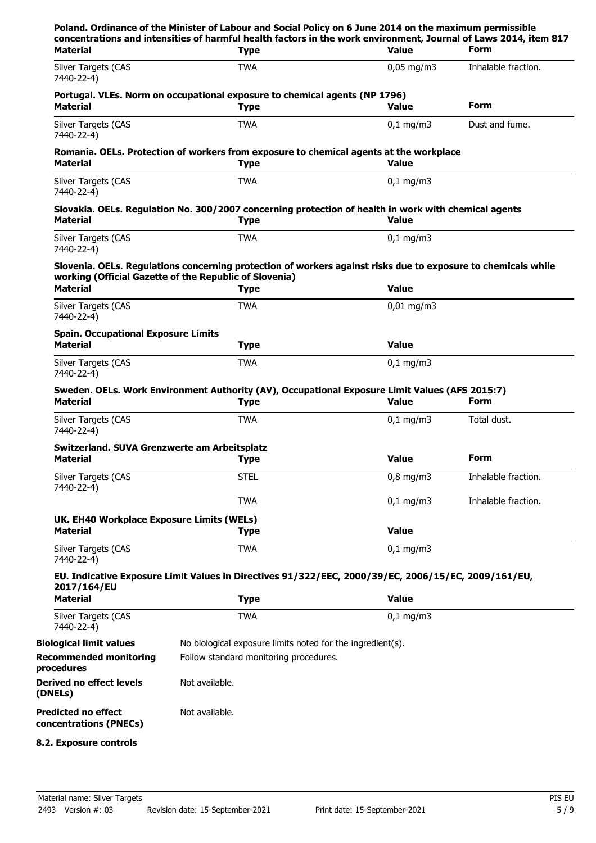| concentrations and intensities of harmful health factors in the work environment, Journal of Laws 2014, item 817<br><b>Type</b> | <b>Value</b>          | <b>Form</b>                                                                                                                                                                                                                                                                                                                                                                                                                                                                                                                                                                                            |
|---------------------------------------------------------------------------------------------------------------------------------|-----------------------|--------------------------------------------------------------------------------------------------------------------------------------------------------------------------------------------------------------------------------------------------------------------------------------------------------------------------------------------------------------------------------------------------------------------------------------------------------------------------------------------------------------------------------------------------------------------------------------------------------|
| <b>TWA</b>                                                                                                                      | $0,05 \text{ mg/m}$ 3 | Inhalable fraction.                                                                                                                                                                                                                                                                                                                                                                                                                                                                                                                                                                                    |
| <b>Type</b>                                                                                                                     | <b>Value</b>          | <b>Form</b>                                                                                                                                                                                                                                                                                                                                                                                                                                                                                                                                                                                            |
| <b>TWA</b>                                                                                                                      | $0,1$ mg/m3           | Dust and fume.                                                                                                                                                                                                                                                                                                                                                                                                                                                                                                                                                                                         |
| <b>Type</b>                                                                                                                     | <b>Value</b>          |                                                                                                                                                                                                                                                                                                                                                                                                                                                                                                                                                                                                        |
| <b>TWA</b>                                                                                                                      | $0,1$ mg/m3           |                                                                                                                                                                                                                                                                                                                                                                                                                                                                                                                                                                                                        |
| <b>Type</b>                                                                                                                     | <b>Value</b>          |                                                                                                                                                                                                                                                                                                                                                                                                                                                                                                                                                                                                        |
| <b>TWA</b>                                                                                                                      | $0,1$ mg/m3           |                                                                                                                                                                                                                                                                                                                                                                                                                                                                                                                                                                                                        |
| working (Official Gazette of the Republic of Slovenia)                                                                          |                       |                                                                                                                                                                                                                                                                                                                                                                                                                                                                                                                                                                                                        |
| <b>Type</b>                                                                                                                     | <b>Value</b>          |                                                                                                                                                                                                                                                                                                                                                                                                                                                                                                                                                                                                        |
| TWA                                                                                                                             | $0,01 \text{ mg/m}$   |                                                                                                                                                                                                                                                                                                                                                                                                                                                                                                                                                                                                        |
| <b>Spain. Occupational Exposure Limits</b><br><b>Type</b>                                                                       | <b>Value</b>          |                                                                                                                                                                                                                                                                                                                                                                                                                                                                                                                                                                                                        |
| <b>TWA</b>                                                                                                                      | $0,1$ mg/m3           |                                                                                                                                                                                                                                                                                                                                                                                                                                                                                                                                                                                                        |
| <b>Type</b>                                                                                                                     | <b>Value</b>          | <b>Form</b>                                                                                                                                                                                                                                                                                                                                                                                                                                                                                                                                                                                            |
| TWA                                                                                                                             | $0,1 \, \text{mg/m}$  | Total dust.                                                                                                                                                                                                                                                                                                                                                                                                                                                                                                                                                                                            |
| Switzerland. SUVA Grenzwerte am Arbeitsplatz<br><b>Type</b>                                                                     | <b>Value</b>          | Form                                                                                                                                                                                                                                                                                                                                                                                                                                                                                                                                                                                                   |
| <b>STEL</b>                                                                                                                     | $0,8$ mg/m3           | Inhalable fraction.                                                                                                                                                                                                                                                                                                                                                                                                                                                                                                                                                                                    |
| <b>TWA</b>                                                                                                                      | $0,1$ mg/m3           | Inhalable fraction.                                                                                                                                                                                                                                                                                                                                                                                                                                                                                                                                                                                    |
| UK. EH40 Workplace Exposure Limits (WELs)<br><b>Type</b>                                                                        | <b>Value</b>          |                                                                                                                                                                                                                                                                                                                                                                                                                                                                                                                                                                                                        |
| <b>TWA</b>                                                                                                                      | $0,1$ mg/m3           |                                                                                                                                                                                                                                                                                                                                                                                                                                                                                                                                                                                                        |
|                                                                                                                                 |                       |                                                                                                                                                                                                                                                                                                                                                                                                                                                                                                                                                                                                        |
| <b>Type</b>                                                                                                                     | <b>Value</b>          |                                                                                                                                                                                                                                                                                                                                                                                                                                                                                                                                                                                                        |
| <b>TWA</b>                                                                                                                      | $0,1$ mg/m3           |                                                                                                                                                                                                                                                                                                                                                                                                                                                                                                                                                                                                        |
|                                                                                                                                 |                       |                                                                                                                                                                                                                                                                                                                                                                                                                                                                                                                                                                                                        |
| No biological exposure limits noted for the ingredient(s).                                                                      |                       |                                                                                                                                                                                                                                                                                                                                                                                                                                                                                                                                                                                                        |
| Follow standard monitoring procedures.                                                                                          |                       |                                                                                                                                                                                                                                                                                                                                                                                                                                                                                                                                                                                                        |
| Not available.                                                                                                                  |                       |                                                                                                                                                                                                                                                                                                                                                                                                                                                                                                                                                                                                        |
| Not available.                                                                                                                  |                       |                                                                                                                                                                                                                                                                                                                                                                                                                                                                                                                                                                                                        |
|                                                                                                                                 |                       | Portugal. VLEs. Norm on occupational exposure to chemical agents (NP 1796)<br>Romania. OELs. Protection of workers from exposure to chemical agents at the workplace<br>Slovakia. OELs. Regulation No. 300/2007 concerning protection of health in work with chemical agents<br>Slovenia. OELs. Regulations concerning protection of workers against risks due to exposure to chemicals while<br>Sweden. OELs. Work Environment Authority (AV), Occupational Exposure Limit Values (AFS 2015:7)<br>EU. Indicative Exposure Limit Values in Directives 91/322/EEC, 2000/39/EC, 2006/15/EC, 2009/161/EU, |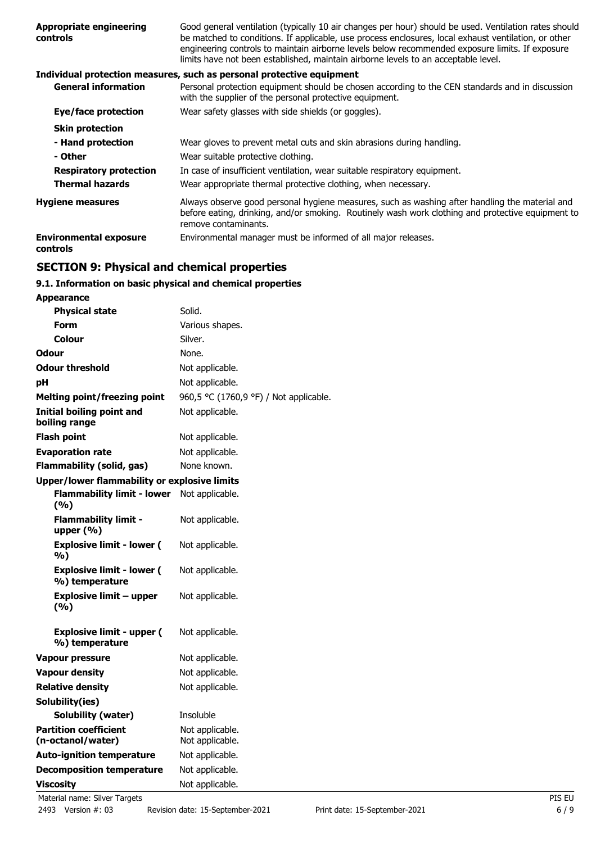| <b>Appropriate engineering</b><br>controls       | Good general ventilation (typically 10 air changes per hour) should be used. Ventilation rates should<br>be matched to conditions. If applicable, use process enclosures, local exhaust ventilation, or other<br>engineering controls to maintain airborne levels below recommended exposure limits. If exposure<br>limits have not been established, maintain airborne levels to an acceptable level. |
|--------------------------------------------------|--------------------------------------------------------------------------------------------------------------------------------------------------------------------------------------------------------------------------------------------------------------------------------------------------------------------------------------------------------------------------------------------------------|
|                                                  | Individual protection measures, such as personal protective equipment                                                                                                                                                                                                                                                                                                                                  |
| <b>General information</b>                       | Personal protection equipment should be chosen according to the CEN standards and in discussion<br>with the supplier of the personal protective equipment.                                                                                                                                                                                                                                             |
| Eye/face protection                              | Wear safety glasses with side shields (or goggles).                                                                                                                                                                                                                                                                                                                                                    |
| <b>Skin protection</b>                           |                                                                                                                                                                                                                                                                                                                                                                                                        |
| - Hand protection                                | Wear gloves to prevent metal cuts and skin abrasions during handling.                                                                                                                                                                                                                                                                                                                                  |
| - Other                                          | Wear suitable protective clothing.                                                                                                                                                                                                                                                                                                                                                                     |
| <b>Respiratory protection</b>                    | In case of insufficient ventilation, wear suitable respiratory equipment.                                                                                                                                                                                                                                                                                                                              |
| <b>Thermal hazards</b>                           | Wear appropriate thermal protective clothing, when necessary.                                                                                                                                                                                                                                                                                                                                          |
| <b>Hygiene measures</b>                          | Always observe good personal hygiene measures, such as washing after handling the material and<br>before eating, drinking, and/or smoking. Routinely wash work clothing and protective equipment to<br>remove contaminants.                                                                                                                                                                            |
| <b>Environmental exposure</b><br><b>controls</b> | Environmental manager must be informed of all major releases.                                                                                                                                                                                                                                                                                                                                          |
|                                                  |                                                                                                                                                                                                                                                                                                                                                                                                        |

# **SECTION 9: Physical and chemical properties**

# **9.1. Information on basic physical and chemical properties**

| <b>Appearance</b>                                  |                                        |
|----------------------------------------------------|----------------------------------------|
| <b>Physical state</b>                              | Solid.                                 |
| <b>Form</b>                                        | Various shapes.                        |
| Colour                                             | Silver.                                |
| <b>Odour</b>                                       | None.                                  |
| <b>Odour threshold</b>                             | Not applicable.                        |
| рH                                                 | Not applicable.                        |
| <b>Melting point/freezing point</b>                | 960,5 °C (1760,9 °F) / Not applicable. |
| <b>Initial boiling point and</b><br>boiling range  | Not applicable.                        |
| <b>Flash point</b>                                 | Not applicable.                        |
| <b>Evaporation rate</b>                            | Not applicable.                        |
| <b>Flammability (solid, gas)</b>                   | None known.                            |
| Upper/lower flammability or explosive limits       |                                        |
| <b>Flammability limit - lower</b><br>(%)           | Not applicable.                        |
| <b>Flammability limit -</b><br>upper $(% )$        | Not applicable.                        |
| <b>Explosive limit - lower (</b><br>%)             | Not applicable.                        |
| <b>Explosive limit - lower (</b><br>%) temperature | Not applicable.                        |
| <b>Explosive limit - upper</b><br>(%)              | Not applicable.                        |
| <b>Explosive limit - upper (</b><br>%) temperature | Not applicable.                        |
| <b>Vapour pressure</b>                             | Not applicable.                        |
| <b>Vapour density</b>                              | Not applicable.                        |
| <b>Relative density</b>                            | Not applicable.                        |
| Solubility(ies)                                    |                                        |
| <b>Solubility (water)</b>                          | Insoluble                              |
| <b>Partition coefficient</b><br>(n-octanol/water)  | Not applicable.<br>Not applicable.     |
| <b>Auto-ignition temperature</b>                   | Not applicable.                        |
| <b>Decomposition temperature</b>                   | Not applicable.                        |
| <b>Viscosity</b>                                   | Not applicable.                        |
| Material name: Silver Targets                      | PIS EU                                 |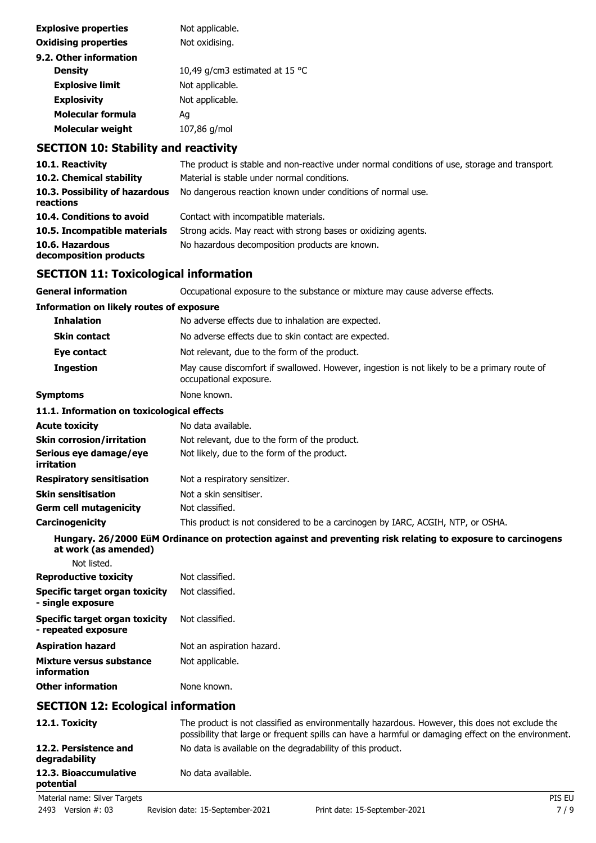| <b>Explosive properties</b> | Not applicable.                |
|-----------------------------|--------------------------------|
| <b>Oxidising properties</b> | Not oxidising.                 |
| 9.2. Other information      |                                |
| <b>Density</b>              | 10,49 g/cm3 estimated at 15 °C |
| <b>Explosive limit</b>      | Not applicable.                |
| <b>Explosivity</b>          | Not applicable.                |
| <b>Molecular formula</b>    | Aq                             |
| <b>Molecular weight</b>     | 107,86 g/mol                   |
|                             |                                |

# **SECTION 10: Stability and reactivity**

| 10.1. Reactivity                                | The product is stable and non-reactive under normal conditions of use, storage and transport.                          |
|-------------------------------------------------|------------------------------------------------------------------------------------------------------------------------|
| 10.2. Chemical stability                        | Material is stable under normal conditions.                                                                            |
| 10.3. Possibility of hazardous<br>reactions     | No dangerous reaction known under conditions of normal use.                                                            |
| 10.4. Conditions to avoid                       | Contact with incompatible materials.                                                                                   |
| 10.5. Incompatible materials                    | Strong acids. May react with strong bases or oxidizing agents.                                                         |
| 10.6. Hazardous<br>decomposition products       | No hazardous decomposition products are known.                                                                         |
| <b>SECTION 11: Toxicological information</b>    |                                                                                                                        |
| <b>General information</b>                      | Occupational exposure to the substance or mixture may cause adverse effects.                                           |
| <b>Information on likely routes of exposure</b> |                                                                                                                        |
| <b>Inhalation</b>                               | No adverse effects due to inhalation are expected.                                                                     |
| <b>Skin contact</b>                             | No adverse effects due to skin contact are expected.                                                                   |
| Eye contact                                     | Not relevant, due to the form of the product.                                                                          |
| <b>Ingestion</b>                                | May cause discomfort if swallowed. However, ingestion is not likely to be a primary route of<br>occupational exposure. |
| <b>Symptoms</b>                                 | None known.                                                                                                            |
| 11.1. Information on toxicological effects      |                                                                                                                        |
| <b>Acute toxicity</b>                           | No data available.                                                                                                     |
| <b>Skin corrosion/irritation</b>                | Not relevant, due to the form of the product.                                                                          |
| Serious eye damage/eye<br>irritation            | Not likely, due to the form of the product.                                                                            |

| <b>Respiratory sensitisation</b> | Not a respiratory sensitizer.                                                   |
|----------------------------------|---------------------------------------------------------------------------------|
| <b>Skin sensitisation</b>        | Not a skin sensitiser.                                                          |
| <b>Germ cell mutagenicity</b>    | Not classified.                                                                 |
| Carcinogenicity                  | This product is not considered to be a carcinogen by IARC, ACGIH, NTP, or OSHA. |

**Hungary. 26/2000 EüM Ordinance on protection against and preventing risk relating to exposure to carcinogens at work (as amended)**

| Not listed.                                           |                           |
|-------------------------------------------------------|---------------------------|
| <b>Reproductive toxicity</b>                          | Not classified.           |
| Specific target organ toxicity<br>- single exposure   | Not classified.           |
| Specific target organ toxicity<br>- repeated exposure | Not classified.           |
| <b>Aspiration hazard</b>                              | Not an aspiration hazard. |
| Mixture versus substance<br>information               | Not applicable.           |
| <b>Other information</b>                              | None known.               |

# **SECTION 12: Ecological information**

| 12.1. Toxicity                         | The product is not classified as environmentally hazardous. However, this does not exclude the<br>possibility that large or frequent spills can have a harmful or damaging effect on the environment. |        |
|----------------------------------------|-------------------------------------------------------------------------------------------------------------------------------------------------------------------------------------------------------|--------|
| 12.2. Persistence and<br>degradability | No data is available on the degradability of this product.                                                                                                                                            |        |
| 12.3. Bioaccumulative<br>potential     | No data available.                                                                                                                                                                                    |        |
| Material name: Silver Targets          |                                                                                                                                                                                                       | PIS EU |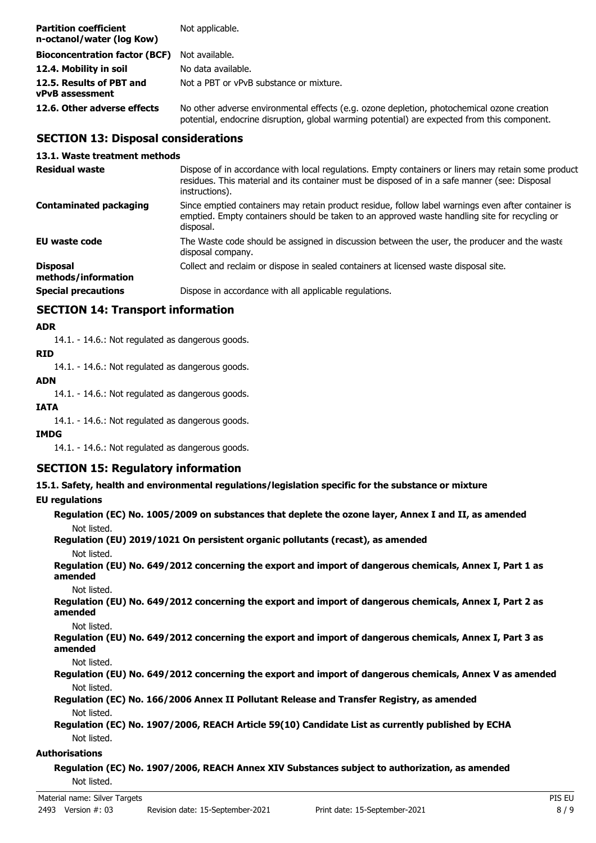| <b>Partition coefficient</b><br>n-octanol/water (log Kow) | Not applicable.                                                                                                                                                                            |
|-----------------------------------------------------------|--------------------------------------------------------------------------------------------------------------------------------------------------------------------------------------------|
| <b>Bioconcentration factor (BCF)</b>                      | Not available.                                                                                                                                                                             |
| 12.4. Mobility in soil                                    | No data available.                                                                                                                                                                         |
| 12.5. Results of PBT and<br>vPvB assessment               | Not a PBT or vPvB substance or mixture.                                                                                                                                                    |
| 12.6. Other adverse effects                               | No other adverse environmental effects (e.g. ozone depletion, photochemical ozone creation<br>potential, endocrine disruption, global warming potential) are expected from this component. |

## **SECTION 13: Disposal considerations**

#### **13.1. Waste treatment methods**

| <b>Residual waste</b>                  | Dispose of in accordance with local regulations. Empty containers or liners may retain some product<br>residues. This material and its container must be disposed of in a safe manner (see: Disposal<br>instructions). |
|----------------------------------------|------------------------------------------------------------------------------------------------------------------------------------------------------------------------------------------------------------------------|
| <b>Contaminated packaging</b>          | Since emptied containers may retain product residue, follow label warnings even after container is<br>emptied. Empty containers should be taken to an approved waste handling site for recycling or<br>disposal.       |
| EU waste code                          | The Waste code should be assigned in discussion between the user, the producer and the waste<br>disposal company.                                                                                                      |
| <b>Disposal</b><br>methods/information | Collect and reclaim or dispose in sealed containers at licensed waste disposal site.                                                                                                                                   |
| <b>Special precautions</b>             | Dispose in accordance with all applicable regulations.                                                                                                                                                                 |

## **SECTION 14: Transport information**

## **ADR**

14.1. - 14.6.: Not regulated as dangerous goods.

#### **RID**

14.1. - 14.6.: Not regulated as dangerous goods.

## **ADN**

14.1. - 14.6.: Not regulated as dangerous goods.

#### **IATA**

14.1. - 14.6.: Not regulated as dangerous goods.

#### **IMDG**

14.1. - 14.6.: Not regulated as dangerous goods.

## **SECTION 15: Regulatory information**

**15.1. Safety, health and environmental regulations/legislation specific for the substance or mixture**

#### **EU regulations**

| Regulation (EC) No. 1005/2009 on substances that deplete the ozone layer, Annex I and II, as amended<br>Not listed. |  |
|---------------------------------------------------------------------------------------------------------------------|--|
| Regulation (EU) 2019/1021 On persistent organic pollutants (recast), as amended                                     |  |
| Not listed.                                                                                                         |  |
| Regulation (EU) No. 649/2012 concerning the export and import of dangerous chemicals, Annex I, Part 1 as<br>amended |  |
| Not listed.                                                                                                         |  |
| Regulation (EU) No. 649/2012 concerning the export and import of dangerous chemicals, Annex I, Part 2 as<br>amended |  |
| Not listed.                                                                                                         |  |
| Regulation (EU) No. 649/2012 concerning the export and import of dangerous chemicals, Annex I, Part 3 as<br>amended |  |
| Not listed.                                                                                                         |  |
| Regulation (EU) No. 649/2012 concerning the export and import of dangerous chemicals, Annex V as amended            |  |
| Not listed.                                                                                                         |  |
| Regulation (EC) No. 166/2006 Annex II Pollutant Release and Transfer Registry, as amended                           |  |
| Not listed.                                                                                                         |  |
| Regulation (EC) No. 1907/2006, REACH Article 59(10) Candidate List as currently published by ECHA                   |  |
| Not listed.                                                                                                         |  |
| Authorisations                                                                                                      |  |

## **Regulation (EC) No. 1907/2006, REACH Annex XIV Substances subject to authorization, as amended** Not listed.